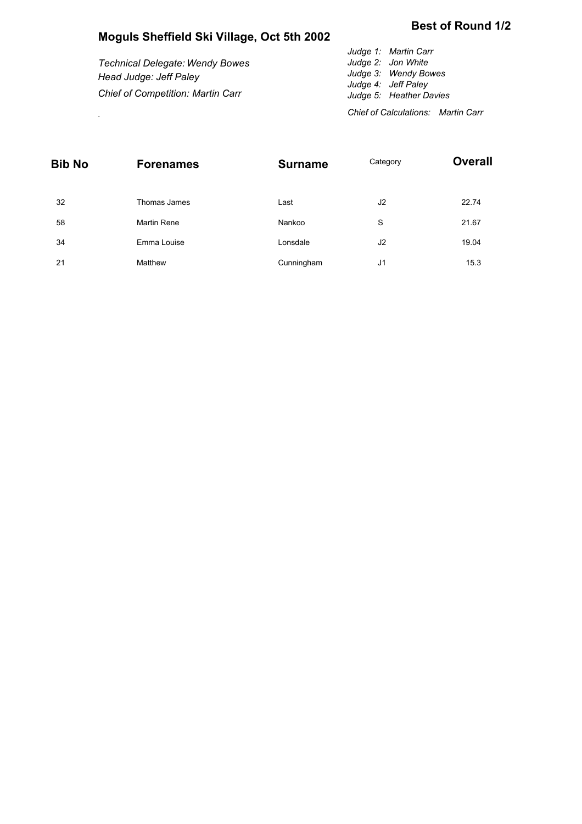## **Moguls Sheffield Ski Village, Oct 5th 2002**

*Technical Delegate: Wendy Bowes Head Judge: Jeff Paley Chief of Competition: Martin Carr*

*Judge 1: Martin Carr Judge 2: Jon White Judge 3: Wendy Bowes Judge 4: Jeff Paley Judge 5: Heather Davies Chief of Calculations: Martin Carr* .

| <b>Bib No</b> | <b>Forenames</b>   | <b>Surname</b> | Category       | <b>Overall</b> |  |  |
|---------------|--------------------|----------------|----------------|----------------|--|--|
| 32            | Thomas James       | Last           | J <sub>2</sub> | 22.74          |  |  |
| 58            | <b>Martin Rene</b> | Nankoo         | S              | 21.67          |  |  |
| 34            | Emma Louise        | Lonsdale       | J <sub>2</sub> | 19.04          |  |  |
| 21            | Matthew            | Cunningham     | J1             | 15.3           |  |  |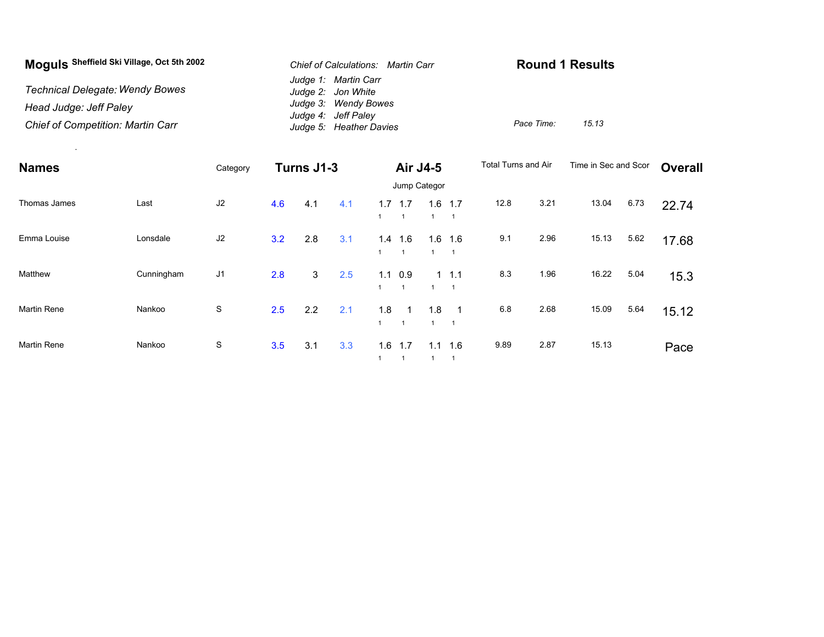| Moguls Sheffield Ski Village, Oct 5th 2002 | Chief of Calculations: Martin Carr          | <b>Round 1 Results</b> |       |  |  |
|--------------------------------------------|---------------------------------------------|------------------------|-------|--|--|
| <b>Technical Delegate: Wendy Bowes</b>     | Judge 1: Martin Carr<br>Judge 2: Jon White  |                        |       |  |  |
| Head Judge: Jeff Paley                     | Judge 3: Wendy Bowes<br>Judge 4: Jeff Paley |                        |       |  |  |
| <b>Chief of Competition: Martin Carr</b>   | Judge 5: Heather Davies                     | Pace Time:             | 15.13 |  |  |

.

| <b>Names</b>       |            | Category       | Turns J1-3 |     | Air J4-5 |                 |                       | <b>Total Turns and Air</b> |                             | Time in Sec and Scor |      | Overall |      |       |
|--------------------|------------|----------------|------------|-----|----------|-----------------|-----------------------|----------------------------|-----------------------------|----------------------|------|---------|------|-------|
|                    |            |                |            |     |          | Jump Categor    |                       |                            |                             |                      |      |         |      |       |
| Thomas James       | Last       | J2             | 4.6        | 4.1 | 4.1      | $1.7$ 1.7       | $\mathbf{1}$          | 1.6                        | 1.7                         | 12.8                 | 3.21 | 13.04   | 6.73 | 22.74 |
| Emma Louise        | Lonsdale   | J2             | 3.2        | 2.8 | 3.1      | 1.4             | 1.6<br>$\overline{1}$ | 1.6                        | 1.6<br>$\overline{1}$       | 9.1                  | 2.96 | 15.13   | 5.62 | 17.68 |
| Matthew            | Cunningham | J <sub>1</sub> | 2.8        | 3   | 2.5      | $1.1 \quad 0.9$ | $\overline{1}$        |                            | $1 \t1.1$<br>$\overline{1}$ | 8.3                  | 1.96 | 16.22   | 5.04 | 15.3  |
| <b>Martin Rene</b> | Nankoo     | S              | 2.5        | 2.2 | 2.1      | 1.8             | $\overline{1}$        | 1.8                        | -1<br>$\overline{1}$        | 6.8                  | 2.68 | 15.09   | 5.64 | 15.12 |
| <b>Martin Rene</b> | Nankoo     | S              | 3.5        | 3.1 | 3.3      | 1.6             | 1.7<br>$\mathbf{1}$   | 1.1                        | 1.6                         | 9.89                 | 2.87 | 15.13   |      | Pace  |